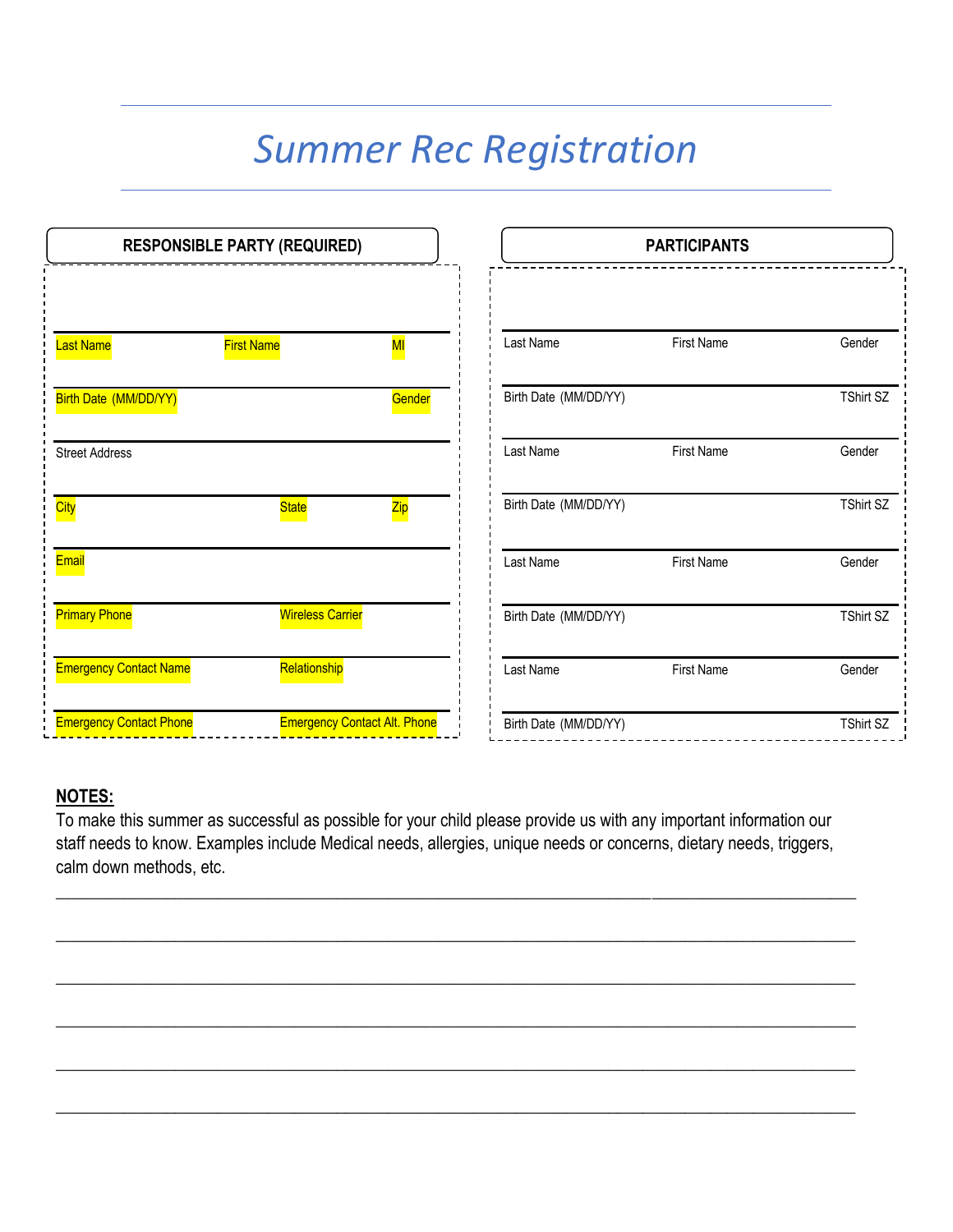# *Summer Rec Registration*

| <b>RESPONSIBLE PARTY (REQUIRED)</b> |                                     |        | <b>PARTICIPANTS</b>   |                   |                  |
|-------------------------------------|-------------------------------------|--------|-----------------------|-------------------|------------------|
| <b>Last Name</b>                    | <b>First Name</b>                   | MI     | Last Name             | <b>First Name</b> | Gender           |
|                                     |                                     |        |                       |                   |                  |
| Birth Date (MM/DD/YY)               |                                     | Gender | Birth Date (MM/DD/YY) |                   | <b>TShirt SZ</b> |
| <b>Street Address</b>               |                                     |        | Last Name             | <b>First Name</b> | Gender           |
| <b>City</b>                         | <b>State</b>                        | Zip    | Birth Date (MM/DD/YY) |                   | <b>TShirt SZ</b> |
| Email                               |                                     |        | Last Name             | <b>First Name</b> | Gender           |
| <b>Primary Phone</b>                | <b>Wireless Carrier</b>             |        | Birth Date (MM/DD/YY) |                   | <b>TShirt SZ</b> |
| <b>Emergency Contact Name</b>       | Relationship                        |        | Last Name             | <b>First Name</b> | Gender           |
| <b>Emergency Contact Phone</b>      | <b>Emergency Contact Alt. Phone</b> |        | Birth Date (MM/DD/YY) |                   | <b>TShirt SZ</b> |

# **NOTES:**

To make this summer as successful as possible for your child please provide us with any important information our staff needs to know. Examples include Medical needs, allergies, unique needs or concerns, dietary needs, triggers, calm down methods, etc.

**\_\_\_\_\_\_\_\_\_\_\_\_\_\_\_\_\_\_\_\_\_\_\_\_\_\_\_\_\_\_\_\_\_\_\_\_\_\_\_\_\_\_\_\_\_\_\_\_\_\_\_\_\_\_\_\_\_\_\_\_\_\_\_\_\_\_\_\_\_\_\_\_\_\_\_\_\_\_\_\_\_\_\_\_\_\_\_\_\_\_\_\_\_\_**

**\_\_\_\_\_\_\_\_\_\_\_\_\_\_\_\_\_\_\_\_\_\_\_\_\_\_\_\_\_\_\_\_\_\_\_\_\_\_\_\_\_\_\_\_\_\_\_\_\_\_\_\_\_\_\_\_\_\_\_\_\_\_\_\_\_\_\_\_\_\_\_\_\_\_\_\_\_\_\_\_\_\_\_\_\_\_\_\_\_\_\_\_\_\_**

**\_\_\_\_\_\_\_\_\_\_\_\_\_\_\_\_\_\_\_\_\_\_\_\_\_\_\_\_\_\_\_\_\_\_\_\_\_\_\_\_\_\_\_\_\_\_\_\_\_\_\_\_\_\_\_\_\_\_\_\_\_\_\_\_\_\_\_\_\_\_\_\_\_\_\_\_\_\_\_\_\_\_\_\_\_\_\_\_\_\_\_\_\_\_**

**\_\_\_\_\_\_\_\_\_\_\_\_\_\_\_\_\_\_\_\_\_\_\_\_\_\_\_\_\_\_\_\_\_\_\_\_\_\_\_\_\_\_\_\_\_\_\_\_\_\_\_\_\_\_\_\_\_\_\_\_\_\_\_\_\_\_\_\_\_\_\_\_\_\_\_\_\_\_\_\_\_\_\_\_\_\_\_\_\_\_\_\_\_\_**

**\_\_\_\_\_\_\_\_\_\_\_\_\_\_\_\_\_\_\_\_\_\_\_\_\_\_\_\_\_\_\_\_\_\_\_\_\_\_\_\_\_\_\_\_\_\_\_\_\_\_\_\_\_\_\_\_\_\_\_\_\_\_\_\_\_\_\_\_\_\_\_\_\_\_\_\_\_\_\_\_\_\_\_\_\_\_\_\_\_\_\_\_\_\_**

**\_\_\_\_\_\_\_\_\_\_\_\_\_\_\_\_\_\_\_\_\_\_\_\_\_\_\_\_\_\_\_\_\_\_\_\_\_\_\_\_\_\_\_\_\_\_\_\_\_\_\_\_\_\_\_\_\_\_\_\_\_\_\_\_\_\_\_\_\_\_\_\_\_\_\_\_\_\_\_\_\_\_\_\_\_\_\_\_\_\_\_\_\_\_**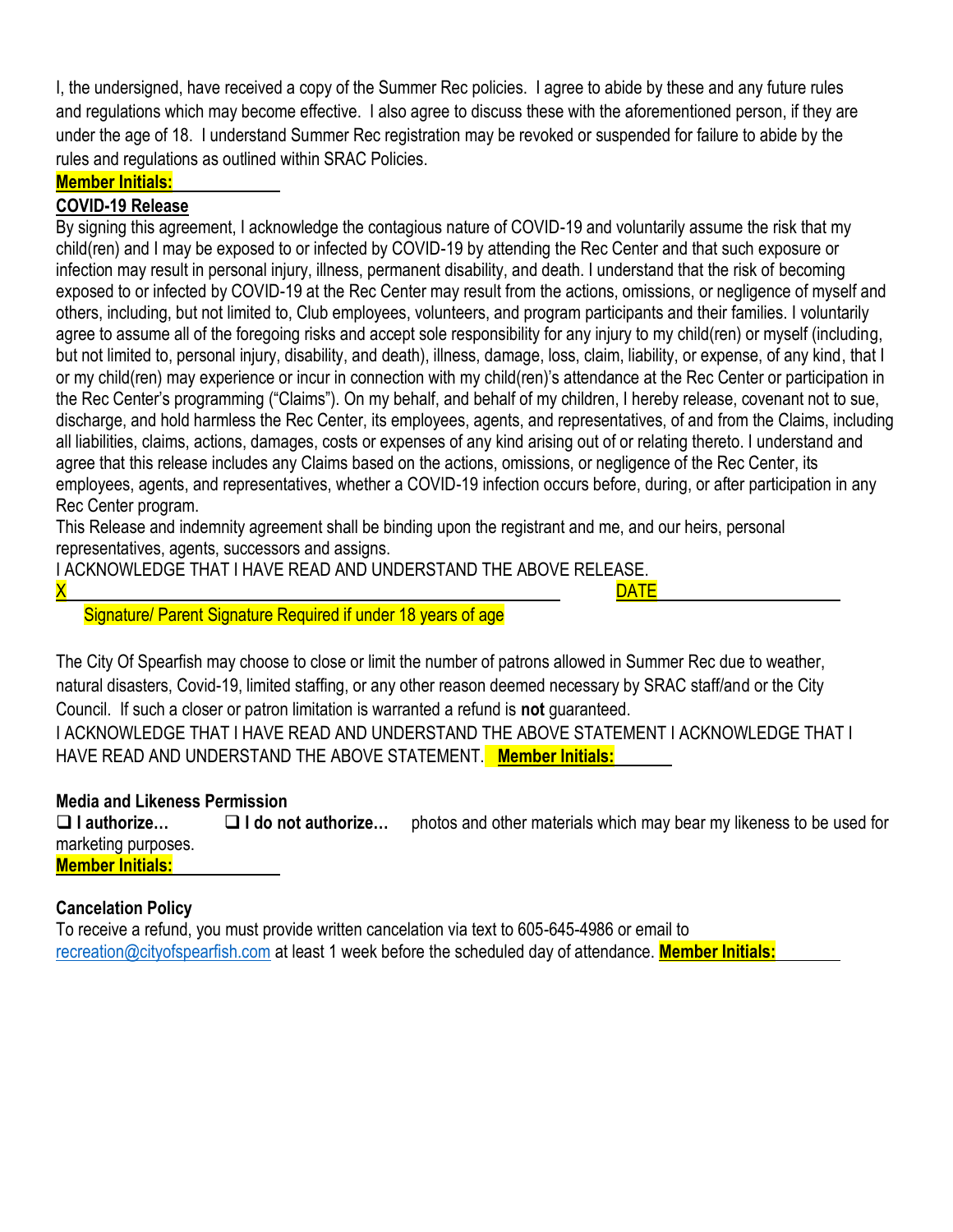I, the undersigned, have received a copy of the Summer Rec policies. I agree to abide by these and any future rules and regulations which may become effective. I also agree to discuss these with the aforementioned person, if they are under the age of 18. I understand Summer Rec registration may be revoked or suspended for failure to abide by the rules and regulations as outlined within SRAC Policies.

#### **Member Initials:**

#### **COVID-19 Release**

By signing this agreement, I acknowledge the contagious nature of COVID-19 and voluntarily assume the risk that my child(ren) and I may be exposed to or infected by COVID-19 by attending the Rec Center and that such exposure or infection may result in personal injury, illness, permanent disability, and death. I understand that the risk of becoming exposed to or infected by COVID-19 at the Rec Center may result from the actions, omissions, or negligence of myself and others, including, but not limited to, Club employees, volunteers, and program participants and their families. I voluntarily agree to assume all of the foregoing risks and accept sole responsibility for any injury to my child(ren) or myself (including, but not limited to, personal injury, disability, and death), illness, damage, loss, claim, liability, or expense, of any kind, that I or my child(ren) may experience or incur in connection with my child(ren)'s attendance at the Rec Center or participation in the Rec Center's programming ("Claims"). On my behalf, and behalf of my children, I hereby release, covenant not to sue, discharge, and hold harmless the Rec Center, its employees, agents, and representatives, of and from the Claims, including all liabilities, claims, actions, damages, costs or expenses of any kind arising out of or relating thereto. I understand and agree that this release includes any Claims based on the actions, omissions, or negligence of the Rec Center, its employees, agents, and representatives, whether a COVID-19 infection occurs before, during, or after participation in any Rec Center program.

This Release and indemnity agreement shall be binding upon the registrant and me, and our heirs, personal representatives, agents, successors and assigns.

I ACKNOWLEDGE THAT I HAVE READ AND UNDERSTAND THE ABOVE RELEASE.

<mark>X</mark> DATE **DATE** 

Signature/ Parent Signature Required if under 18 years of age

The City Of Spearfish may choose to close or limit the number of patrons allowed in Summer Rec due to weather, natural disasters, Covid-19, limited staffing, or any other reason deemed necessary by SRAC staff/and or the City Council. If such a closer or patron limitation is warranted a refund is **not** guaranteed. I ACKNOWLEDGE THAT I HAVE READ AND UNDERSTAND THE ABOVE STATEMENT I ACKNOWLEDGE THAT I HAVE READ AND UNDERSTAND THE ABOVE STATEMENT. **Member Initials:**

#### **Media and Likeness Permission**

❑ **I authorize…** ❑ **I do not authorize…** photos and other materials which may bear my likeness to be used for marketing purposes. **Member Initials:**

#### **Cancelation Policy**

To receive a refund, you must provide written cancelation via text to 605-645-4986 or email to [recreation@cityofspearfish.com](mailto:recreation@cityofspearfish.com) at least 1 week before the scheduled day of attendance. **Member Initials:**